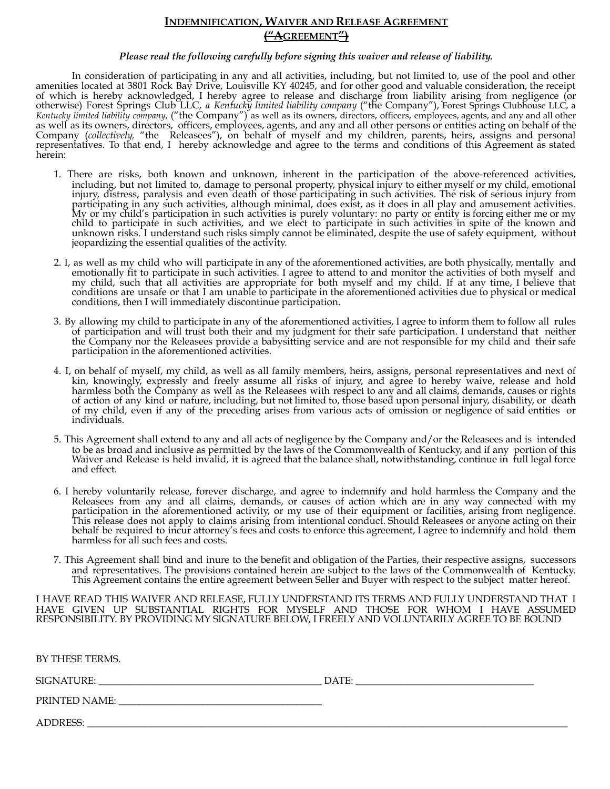# **INDEMNIFICATION, WAIVER AND RELEASE AGREEMENT ("AGREEMENT")**

## *Please read the following carefully before signing this waiver and release of liability.*

In consideration of participating in any and all activities, including, but not limited to, use of the pool and other amenities located at 3801 Rock Bay Drive, Louisville KY 40245, and for other good and valuable consideration, the receipt of which is hereby acknowledged, I hereby agree to release and discharge from liability arising from negligence (or otherwise) Forest Springs Club LLC, *a Kentucky limited liability company* ("the Company"), Forest Springs Clubhouse LLC, a *Kentucky limited liability company*, ("the Company") as well as its owners, directors, officers, employees, agents, and any and all other as well as its owners, directors, officers, employees, agents, and any and all other persons or entities acting on behalf of the Company (*collectively,* "the Releasees"), on behalf of myself and my children, parents, heirs, assigns and personal representatives. To that end, I hereby acknowledge and agree to the terms and conditions of this Agreement as stated herein:

- 1. There are risks, both known and unknown, inherent in the participation of the above-referenced activities, including, but not limited to, damage to personal property, physical injury to either myself or my child, emotional injury, distress, paralysis and even death of those participating in such activities. The risk of serious injury from participating in any such activities, although minimal, does exist, as it does in all play and amusement activities. My or my child's participation in such activities is purely voluntary: no party or entity is forcing either me or my child to participate in such activities, and we elect to participate in such activities in spite of the known and unknown risks. I understand such risks simply cannot be eliminated, despite the use of safety equipment, without jeopardizing the essential qualities of the activity.
- 2. I, as well as my child who will participate in any of the aforementioned activities, are both physically, mentally and emotionally fit to participate in such activities. I agree to attend to and monitor the activities of both myself and my child, such that all activities are appropriate for both myself and my child. If at any time, I believe that conditions are unsafe or that I am unable to participate in the aforementioned activities due to physical or medical conditions, then I will immediately discontinue participation.
- 3. By allowing my child to participate in any of the aforementioned activities, I agree to inform them to follow all rules of participation and will trust both their and my judgment for their safe participation. I understand that neither the Company nor the Releasees provide a babysitting service and are not responsible for my child and their safe participation in the aforementioned activities.
- 4. I, on behalf of myself, my child, as well as all family members, heirs, assigns, personal representatives and next of kin, knowingly, expressly and freely assume all risks of injury, and agree to hereby waive, release and hold harmless both the Company as well as the Releasees with respect to any and all claims, demands, causes or rights of action of any kind or nature, including, but not limited to, those based upon personal injury, disability, or death of my child, even if any of the preceding arises from various acts of omission or negligence of said entities or individuals.
- 5. This Agreement shall extend to any and all acts of negligence by the Company and/or the Releasees and is intended to be as broad and inclusive as permitted by the laws of the Commonwealth of Kentucky, and if any portion of this Waiver and Release is held invalid, it is agreed that the balance shall, notwithstanding, continue in full legal force and effect.
- 6. I hereby voluntarily release, forever discharge, and agree to indemnify and hold harmless the Company and the Releasees from any and all claims, demands, or causes of action which are in any way connected with my participation in the aforementioned activity, or my use of their equipment or facilities, arising from negligence. This release does not apply to claims arising from intentional conduct. Should Releasees or anyone acting on their behalf be required to incur attorney's fees and costs to enforce this agreement, I agree to indemnify and hold them harmless for all such fees and costs.
- 7. This Agreement shall bind and inure to the benefit and obligation of the Parties, their respective assigns, successors and representatives. The provisions contained herein are subject to the laws of the Commonwealth of Kentucky. This Agreement contains the entire agreement between Seller and Buyer with respect to the subject matter hereof.

I HAVE READ THIS WAIVER AND RELEASE, FULLY UNDERSTAND ITS TERMS AND FULLY UNDERSTAND THAT I HAVE GIVEN UP SUBSTANTIAL RIGHTS FOR MYSELF AND THOSE FOR WHOM I HAVE ASSUMED RESPONSIBILITY. BY PROVIDING MY SIGNATURE BELOW, I FREELY AND VOLUNTARILY AGREE TO BE BOUND

BY THESE TERMS.

SIGNATURE: \_\_\_\_\_\_\_\_\_\_\_\_\_\_\_\_\_\_\_\_\_\_\_\_\_\_\_\_\_\_\_\_\_\_\_\_\_\_\_\_\_\_\_\_\_ DATE: \_\_\_\_\_\_\_\_\_\_\_\_\_\_\_\_\_\_\_\_\_\_\_\_\_\_\_\_\_\_\_\_\_\_\_\_

PRINTED NAME: \_\_\_\_\_\_\_\_\_\_\_\_\_\_\_\_\_\_\_\_\_\_\_\_\_\_\_\_\_\_\_\_\_\_\_\_\_\_\_\_\_

ADDRESS: \_\_\_\_\_\_\_\_\_\_\_\_\_\_\_\_\_\_\_\_\_\_\_\_\_\_\_\_\_\_\_\_\_\_\_\_\_\_\_\_\_\_\_\_\_\_\_\_\_\_\_\_\_\_\_\_\_\_\_\_\_\_\_\_\_\_\_\_\_\_\_\_\_\_\_\_\_\_\_\_\_\_\_\_\_\_\_\_\_\_\_\_\_\_\_\_\_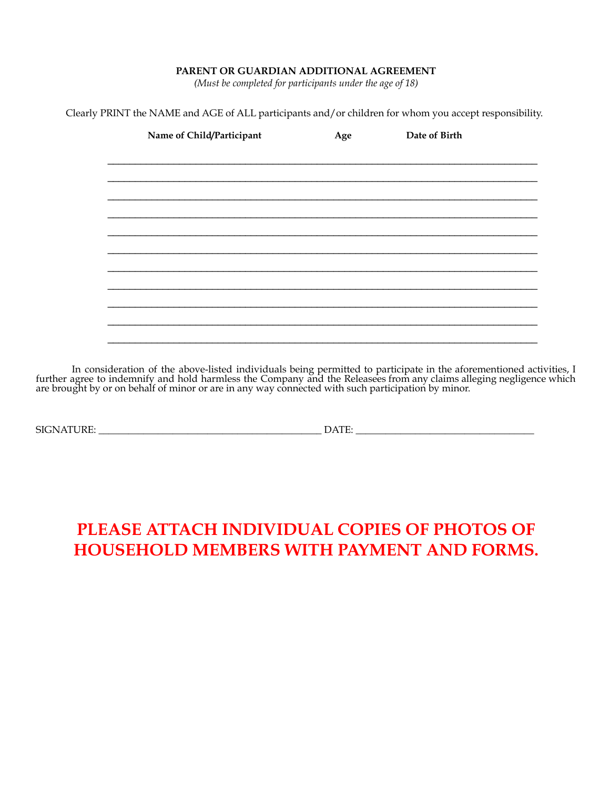## **PARENT OR GUARDIAN ADDITIONAL AGREEMENT**

*(Must be completed for participants under the age of 18)*

Clearly PRINT the NAME and AGE of ALL participants and/or children for whom you accept responsibility.

| Name of Child/Participant | Age | Date of Birth |  |
|---------------------------|-----|---------------|--|
|                           |     |               |  |
|                           |     |               |  |
|                           |     |               |  |
|                           |     |               |  |
|                           |     |               |  |
|                           |     |               |  |
|                           |     |               |  |
|                           |     |               |  |
|                           |     |               |  |
|                           |     |               |  |
|                           |     |               |  |

In consideration of the above-listed individuals being permitted to participate in the aforementioned activities, I further agree to indemnify and hold harmless the Company and the Releasees from any claims alleging negligence which are brought by or on behalf of minor or are in any way connected with such participation by minor.

SIGNATURE: \_\_\_\_\_\_\_\_\_\_\_\_\_\_\_\_\_\_\_\_\_\_\_\_\_\_\_\_\_\_\_\_\_\_\_\_\_\_\_\_\_\_\_\_\_ DATE: \_\_\_\_\_\_\_\_\_\_\_\_\_\_\_\_\_\_\_\_\_\_\_\_\_\_\_\_\_\_\_\_\_\_\_\_

# **PLEASE ATTACH INDIVIDUAL COPIES OF PHOTOS OF HOUSEHOLD MEMBERS WITH PAYMENT AND FORMS.**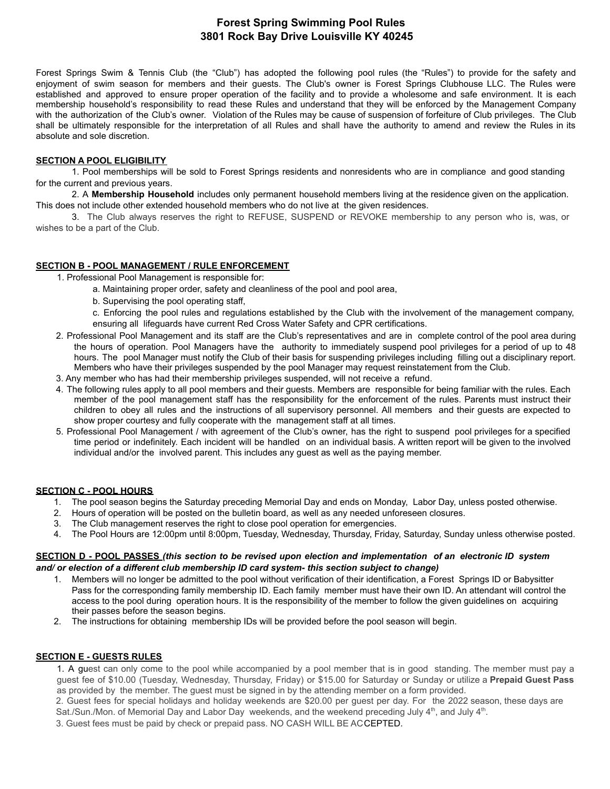# **Forest Spring Swimming Pool Rules 3801 Rock Bay Drive Louisville KY 40245**

Forest Springs Swim & Tennis Club (the "Club") has adopted the following pool rules (the "Rules") to provide for the safety and enjoyment of swim season for members and their guests. The Club's owner is Forest Springs Clubhouse LLC. The Rules were established and approved to ensure proper operation of the facility and to provide a wholesome and safe environment. It is each membership household's responsibility to read these Rules and understand that they will be enforced by the Management Company with the authorization of the Club's owner. Violation of the Rules may be cause of suspension of forfeiture of Club privileges. The Club shall be ultimately responsible for the interpretation of all Rules and shall have the authority to amend and review the Rules in its absolute and sole discretion.

#### **SECTION A POOL ELIGIBILITY**

1. Pool memberships will be sold to Forest Springs residents and nonresidents who are in compliance and good standing for the current and previous years.

2. A **Membership Household** includes only permanent household members living at the residence given on the application. This does not include other extended household members who do not live at the given residences.

3. The Club always reserves the right to REFUSE, SUSPEND or REVOKE membership to any person who is, was, or wishes to be a part of the Club.

# **SECTION B - POOL MANAGEMENT / RULE ENFORCEMENT**

1. Professional Pool Management is responsible for:

- a. Maintaining proper order, safety and cleanliness of the pool and pool area,
- b. Supervising the pool operating staff,
- c. Enforcing the pool rules and regulations established by the Club with the involvement of the management company, ensuring all lifeguards have current Red Cross Water Safety and CPR certifications.
- 2. Professional Pool Management and its staff are the Club's representatives and are in complete control of the pool area during the hours of operation. Pool Managers have the authority to immediately suspend pool privileges for a period of up to 48 hours. The pool Manager must notify the Club of their basis for suspending privileges including filling out a disciplinary report. Members who have their privileges suspended by the pool Manager may request reinstatement from the Club.
- 3. Any member who has had their membership privileges suspended, will not receive a refund.
- 4. The following rules apply to all pool members and their guests. Members are responsible for being familiar with the rules. Each member of the pool management staff has the responsibility for the enforcement of the rules. Parents must instruct their children to obey all rules and the instructions of all supervisory personnel. All members and their guests are expected to show proper courtesy and fully cooperate with the management staff at all times.
- 5. Professional Pool Management / with agreement of the Club's owner, has the right to suspend pool privileges for a specified time period or indefinitely. Each incident will be handled on an individual basis. A written report will be given to the involved individual and/or the involved parent. This includes any guest as well as the paying member.

#### **SECTION C - POOL HOURS**

- 1. The pool season begins the Saturday preceding Memorial Day and ends on Monday, Labor Day, unless posted otherwise.
- 2. Hours of operation will be posted on the bulletin board, as well as any needed unforeseen closures.
- 3. The Club management reserves the right to close pool operation for emergencies.
- 4. The Pool Hours are 12:00pm until 8:00pm, Tuesday, Wednesday, Thursday, Friday, Saturday, Sunday unless otherwise posted.

#### SECTION D - POOL PASSES (this section to be revised upon election and implementation of an electronic ID system *and/ or election of a different club membership ID card system- this section subject to change)*

- 1. Members will no longer be admitted to the pool without verification of their identification, a Forest Springs ID or Babysitter Pass for the corresponding family membership ID. Each family member must have their own ID. An attendant will control the access to the pool during operation hours. It is the responsibility of the member to follow the given guidelines on acquiring their passes before the season begins.
- 2. The instructions for obtaining membership IDs will be provided before the pool season will begin.

#### **SECTION E - GUESTS RULES**

1. A guest can only come to the pool while accompanied by a pool member that is in good standing. The member must pay a guest fee of \$10.00 (Tuesday, Wednesday, Thursday, Friday) or \$15.00 for Saturday or Sunday or utilize a **Prepaid Guest Pass** as provided by the member. The guest must be signed in by the attending member on a form provided.

2. Guest fees for special holidays and holiday weekends are \$20.00 per guest per day. For the 2022 season, these days are Sat./Sun./Mon. of Memorial Day and Labor Day weekends, and the weekend preceding July  $4<sup>th</sup>$ , and July  $4<sup>th</sup>$ .

3. Guest fees must be paid by check or prepaid pass. NO CASH WILL BE ACCEPTED.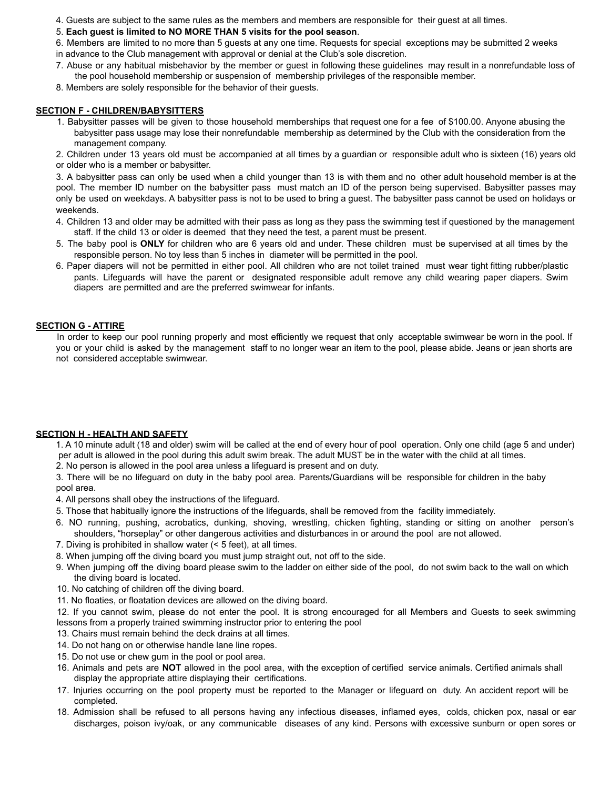- 4. Guests are subject to the same rules as the members and members are responsible for their guest at all times.
- 5. **Each guest is limited to NO MORE THAN 5 visits for the pool season**.
- 6. Members are limited to no more than 5 guests at any one time. Requests for special exceptions may be submitted 2 weeks in advance to the Club management with approval or denial at the Club's sole discretion.
- 7. Abuse or any habitual misbehavior by the member or guest in following these guidelines may result in a nonrefundable loss of the pool household membership or suspension of membership privileges of the responsible member.
- 8. Members are solely responsible for the behavior of their guests.

## **SECTION F - CHILDREN/BABYSITTERS**

- 1. Babysitter passes will be given to those household memberships that request one for a fee of \$100.00. Anyone abusing the babysitter pass usage may lose their nonrefundable membership as determined by the Club with the consideration from the management company.
- 2. Children under 13 years old must be accompanied at all times by a guardian or responsible adult who is sixteen (16) years old or older who is a member or babysitter.

3. A babysitter pass can only be used when a child younger than 13 is with them and no other adult household member is at the pool. The member ID number on the babysitter pass must match an ID of the person being supervised. Babysitter passes may only be used on weekdays. A babysitter pass is not to be used to bring a guest. The babysitter pass cannot be used on holidays or weekends.

- 4. Children 13 and older may be admitted with their pass as long as they pass the swimming test if questioned by the management staff. If the child 13 or older is deemed that they need the test, a parent must be present.
- 5. The baby pool is **ONLY** for children who are 6 years old and under. These children must be supervised at all times by the responsible person. No toy less than 5 inches in diameter will be permitted in the pool.
- 6. Paper diapers will not be permitted in either pool. All children who are not toilet trained must wear tight fitting rubber/plastic pants. Lifeguards will have the parent or designated responsible adult remove any child wearing paper diapers. Swim diapers are permitted and are the preferred swimwear for infants.

# **SECTION G - ATTIRE**

In order to keep our pool running properly and most efficiently we request that only acceptable swimwear be worn in the pool. If you or your child is asked by the management staff to no longer wear an item to the pool, please abide. Jeans or jean shorts are not considered acceptable swimwear.

# **SECTION H - HEALTH AND SAFETY**

1. A 10 minute adult (18 and older) swim will be called at the end of every hour of pool operation. Only one child (age 5 and under) per adult is allowed in the pool during this adult swim break. The adult MUST be in the water with the child at all times.

2. No person is allowed in the pool area unless a lifeguard is present and on duty.

3. There will be no lifeguard on duty in the baby pool area. Parents/Guardians will be responsible for children in the baby pool area.

4. All persons shall obey the instructions of the lifeguard.

- 5. Those that habitually ignore the instructions of the lifeguards, shall be removed from the facility immediately.
- 6. NO running, pushing, acrobatics, dunking, shoving, wrestling, chicken fighting, standing or sitting on another person's shoulders, "horseplay" or other dangerous activities and disturbances in or around the pool are not allowed.
- 7. Diving is prohibited in shallow water (< 5 feet), at all times.
- 8. When jumping off the diving board you must jump straight out, not off to the side.
- 9. When jumping off the diving board please swim to the ladder on either side of the pool, do not swim back to the wall on which the diving board is located.
- 10. No catching of children off the diving board.
- 11. No floaties, or floatation devices are allowed on the diving board.

12. If you cannot swim, please do not enter the pool. It is strong encouraged for all Members and Guests to seek swimming lessons from a properly trained swimming instructor prior to entering the pool

- 13. Chairs must remain behind the deck drains at all times.
- 14. Do not hang on or otherwise handle lane line ropes.
- 15. Do not use or chew gum in the pool or pool area.
- 16. Animals and pets are **NOT** allowed in the pool area, with the exception of certified service animals. Certified animals shall display the appropriate attire displaying their certifications.
- 17. Injuries occurring on the pool property must be reported to the Manager or lifeguard on duty. An accident report will be completed.
- 18. Admission shall be refused to all persons having any infectious diseases, inflamed eyes, colds, chicken pox, nasal or ear discharges, poison ivy/oak, or any communicable diseases of any kind. Persons with excessive sunburn or open sores or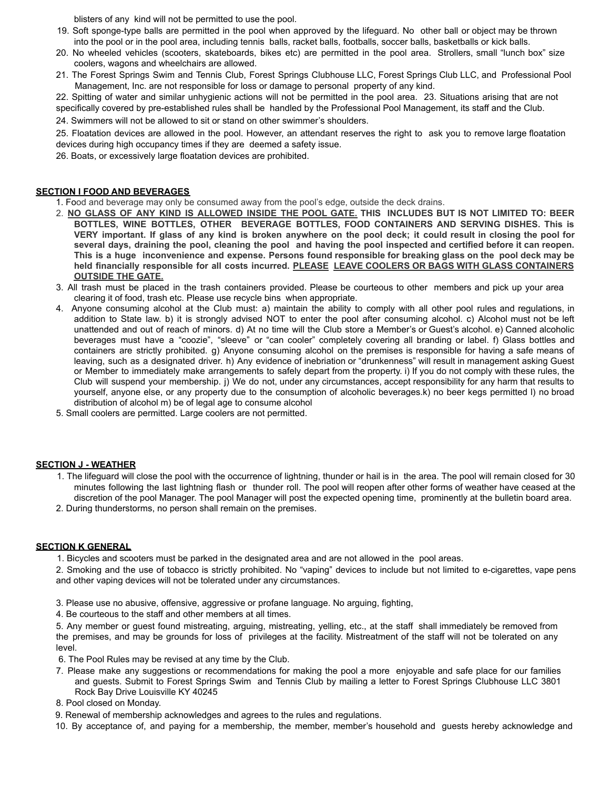blisters of any kind will not be permitted to use the pool.

- 19. Soft sponge-type balls are permitted in the pool when approved by the lifeguard. No other ball or object may be thrown into the pool or in the pool area, including tennis balls, racket balls, footballs, soccer balls, basketballs or kick balls.
- 20. No wheeled vehicles (scooters, skateboards, bikes etc) are permitted in the pool area. Strollers, small "lunch box" size coolers, wagons and wheelchairs are allowed.
- 21. The Forest Springs Swim and Tennis Club, Forest Springs Clubhouse LLC, Forest Springs Club LLC, and Professional Pool Management, Inc. are not responsible for loss or damage to personal property of any kind.

22. Spitting of water and similar unhygienic actions will not be permitted in the pool area. 23. Situations arising that are not specifically covered by pre-established rules shall be handled by the Professional Pool Management, its staff and the Club.

24. Swimmers will not be allowed to sit or stand on other swimmer's shoulders.

25. Floatation devices are allowed in the pool. However, an attendant reserves the right to ask you to remove large floatation devices during high occupancy times if they are deemed a safety issue.

26. Boats, or excessively large floatation devices are prohibited.

#### **SECTION I FOOD AND BEVERAGES**

1. Food and beverage may only be consumed away from the pool's edge, outside the deck drains.

- 2. NO GLASS OF ANY KIND IS ALLOWED INSIDE THE POOL GATE. THIS INCLUDES BUT IS NOT LIMITED TO: BEER **BOTTLES, WINE BOTTLES, OTHER BEVERAGE BOTTLES, FOOD CONTAINERS AND SERVING DISHES. This is** VERY important. If glass of any kind is broken anywhere on the pool deck; it could result in closing the pool for several days, draining the pool, cleaning the pool and having the pool inspected and certified before it can reopen. This is a huge inconvenience and expense. Persons found responsible for breaking glass on the pool deck may be **held financially responsible for all costs incurred. PLEASE LEAVE COOLERS OR BAGS WITH GLASS CONTAINERS OUTSIDE THE GATE.**
- 3. All trash must be placed in the trash containers provided. Please be courteous to other members and pick up your area clearing it of food, trash etc. Please use recycle bins when appropriate.
- 4. Anyone consuming alcohol at the Club must: a) maintain the ability to comply with all other pool rules and regulations, in addition to State law. b) it is strongly advised NOT to enter the pool after consuming alcohol. c) Alcohol must not be left unattended and out of reach of minors. d) At no time will the Club store a Member's or Guest's alcohol. e) Canned alcoholic beverages must have a "coozie", "sleeve" or "can cooler" completely covering all branding or label. f) Glass bottles and containers are strictly prohibited. g) Anyone consuming alcohol on the premises is responsible for having a safe means of leaving, such as a designated driver. h) Any evidence of inebriation or "drunkenness" will result in management asking Guest or Member to immediately make arrangements to safely depart from the property. i) If you do not comply with these rules, the Club will suspend your membership. j) We do not, under any circumstances, accept responsibility for any harm that results to yourself, anyone else, or any property due to the consumption of alcoholic beverages.k) no beer kegs permitted l) no broad distribution of alcohol m) be of legal age to consume alcohol
- 5. Small coolers are permitted. Large coolers are not permitted.

#### **SECTION J - WEATHER**

- 1. The lifeguard will close the pool with the occurrence of lightning, thunder or hail is in the area. The pool will remain closed for 30 minutes following the last lightning flash or thunder roll. The pool will reopen after other forms of weather have ceased at the discretion of the pool Manager. The pool Manager will post the expected opening time, prominently at the bulletin board area.
- 2. During thunderstorms, no person shall remain on the premises.

#### **SECTION K GENERAL**

1. Bicycles and scooters must be parked in the designated area and are not allowed in the pool areas.

2. Smoking and the use of tobacco is strictly prohibited. No "vaping" devices to include but not limited to e-cigarettes, vape pens and other vaping devices will not be tolerated under any circumstances.

- 3. Please use no abusive, offensive, aggressive or profane language. No arguing, fighting,
- 4. Be courteous to the staff and other members at all times.

5. Any member or guest found mistreating, arguing, mistreating, yelling, etc., at the staff shall immediately be removed from the premises, and may be grounds for loss of privileges at the facility. Mistreatment of the staff will not be tolerated on any level.

- 6. The Pool Rules may be revised at any time by the Club.
- 7. Please make any suggestions or recommendations for making the pool a more enjoyable and safe place for our families and guests. Submit to Forest Springs Swim and Tennis Club by mailing a letter to Forest Springs Clubhouse LLC 3801 Rock Bay Drive Louisville KY 40245
- 8. Pool closed on Monday.
- 9. Renewal of membership acknowledges and agrees to the rules and regulations.
- 10. By acceptance of, and paying for a membership, the member, member's household and guests hereby acknowledge and